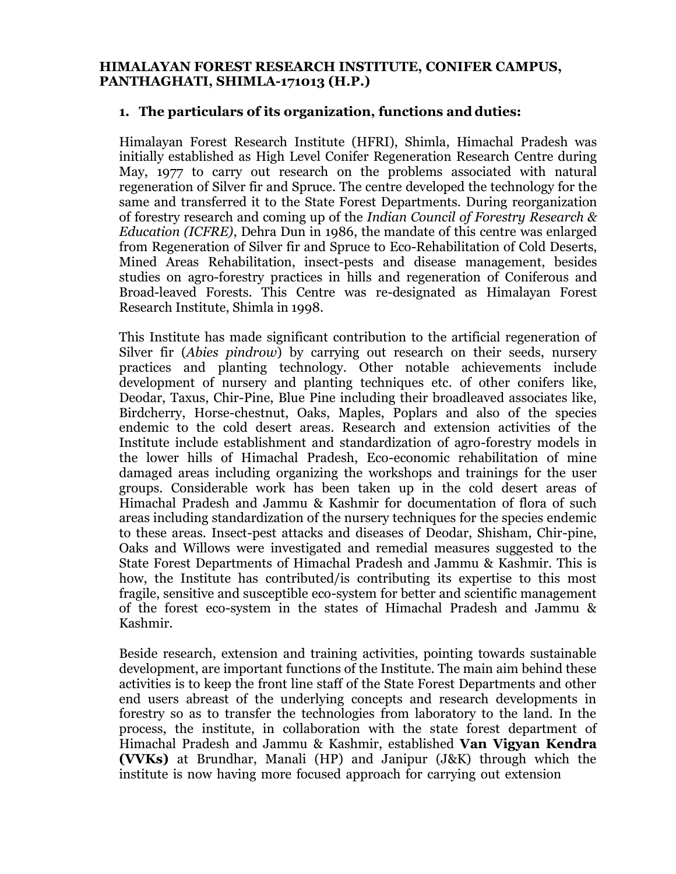#### **HIMALAYAN FOREST RESEARCH INSTITUTE, CONIFER CAMPUS, PANTHAGHATI, SHIMLA-171013 (H.P.)**

#### **1. The particulars of its organization, functions and duties:**

Himalayan Forest Research Institute (HFRI), Shimla, Himachal Pradesh was initially established as High Level Conifer Regeneration Research Centre during May, 1977 to carry out research on the problems associated with natural regeneration of Silver fir and Spruce. The centre developed the technology for the same and transferred it to the State Forest Departments. During reorganization of forestry research and coming up of the *Indian Council of Forestry Research & Education (ICFRE)*, Dehra Dun in 1986, the mandate of this centre was enlarged from Regeneration of Silver fir and Spruce to Eco-Rehabilitation of Cold Deserts, Mined Areas Rehabilitation, insect-pests and disease management, besides studies on agro-forestry practices in hills and regeneration of Coniferous and Broad-leaved Forests. This Centre was re-designated as Himalayan Forest Research Institute, Shimla in 1998.

This Institute has made significant contribution to the artificial regeneration of Silver fir (*Abies pindrow*) by carrying out research on their seeds, nursery practices and planting technology. Other notable achievements include development of nursery and planting techniques etc. of other conifers like, Deodar, Taxus, Chir-Pine, Blue Pine including their broadleaved associates like, Birdcherry, Horse-chestnut, Oaks, Maples, Poplars and also of the species endemic to the cold desert areas. Research and extension activities of the Institute include establishment and standardization of agro-forestry models in the lower hills of Himachal Pradesh, Eco-economic rehabilitation of mine damaged areas including organizing the workshops and trainings for the user groups. Considerable work has been taken up in the cold desert areas of Himachal Pradesh and Jammu & Kashmir for documentation of flora of such areas including standardization of the nursery techniques for the species endemic to these areas. Insect-pest attacks and diseases of Deodar, Shisham, Chir-pine, Oaks and Willows were investigated and remedial measures suggested to the State Forest Departments of Himachal Pradesh and Jammu & Kashmir. This is how, the Institute has contributed/is contributing its expertise to this most fragile, sensitive and susceptible eco-system for better and scientific management of the forest eco-system in the states of Himachal Pradesh and Jammu & Kashmir.

Beside research, extension and training activities, pointing towards sustainable development, are important functions of the Institute. The main aim behind these activities is to keep the front line staff of the State Forest Departments and other end users abreast of the underlying concepts and research developments in forestry so as to transfer the technologies from laboratory to the land. In the process, the institute, in collaboration with the state forest department of Himachal Pradesh and Jammu & Kashmir, established **Van Vigyan Kendra (VVKs)** at Brundhar, Manali (HP) and Janipur (J&K) through which the institute is now having more focused approach for carrying out extension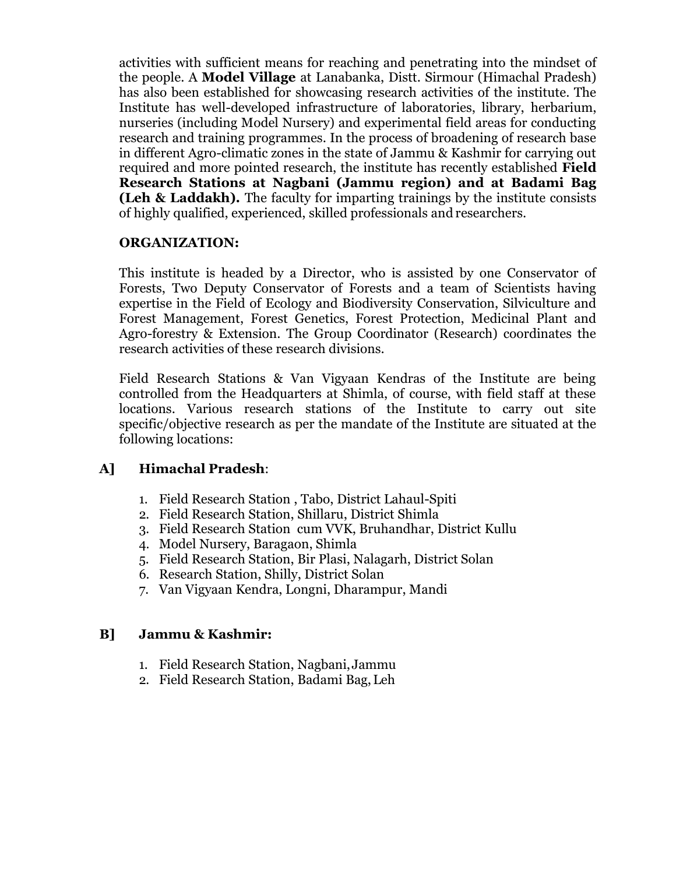activities with sufficient means for reaching and penetrating into the mindset of the people. A **Model Village** at Lanabanka, Distt. Sirmour (Himachal Pradesh) has also been established for showcasing research activities of the institute. The Institute has well-developed infrastructure of laboratories, library, herbarium, nurseries (including Model Nursery) and experimental field areas for conducting research and training programmes. In the process of broadening of research base in different Agro-climatic zones in the state of Jammu & Kashmir for carrying out required and more pointed research, the institute has recently established **Field Research Stations at Nagbani (Jammu region) and at Badami Bag (Leh & Laddakh).** The faculty for imparting trainings by the institute consists of highly qualified, experienced, skilled professionals and researchers.

#### **ORGANIZATION:**

This institute is headed by a Director, who is assisted by one Conservator of Forests, Two Deputy Conservator of Forests and a team of Scientists having expertise in the Field of Ecology and Biodiversity Conservation, Silviculture and Forest Management, Forest Genetics, Forest Protection, Medicinal Plant and Agro-forestry & Extension. The Group Coordinator (Research) coordinates the research activities of these research divisions.

Field Research Stations & Van Vigyaan Kendras of the Institute are being controlled from the Headquarters at Shimla, of course, with field staff at these locations. Various research stations of the Institute to carry out site specific/objective research as per the mandate of the Institute are situated at the following locations:

### **A] Himachal Pradesh**:

- 1. Field Research Station , Tabo, District Lahaul-Spiti
- 2. Field Research Station, Shillaru, District Shimla
- 3. Field Research Station cum VVK, Bruhandhar, District Kullu
- 4. Model Nursery, Baragaon, Shimla
- 5. Field Research Station, Bir Plasi, Nalagarh, District Solan
- 6. Research Station, Shilly, District Solan
- 7. Van Vigyaan Kendra, Longni, Dharampur, Mandi

### **B] Jammu & Kashmir:**

- 1. Field Research Station, Nagbani,Jammu
- 2. Field Research Station, Badami Bag,Leh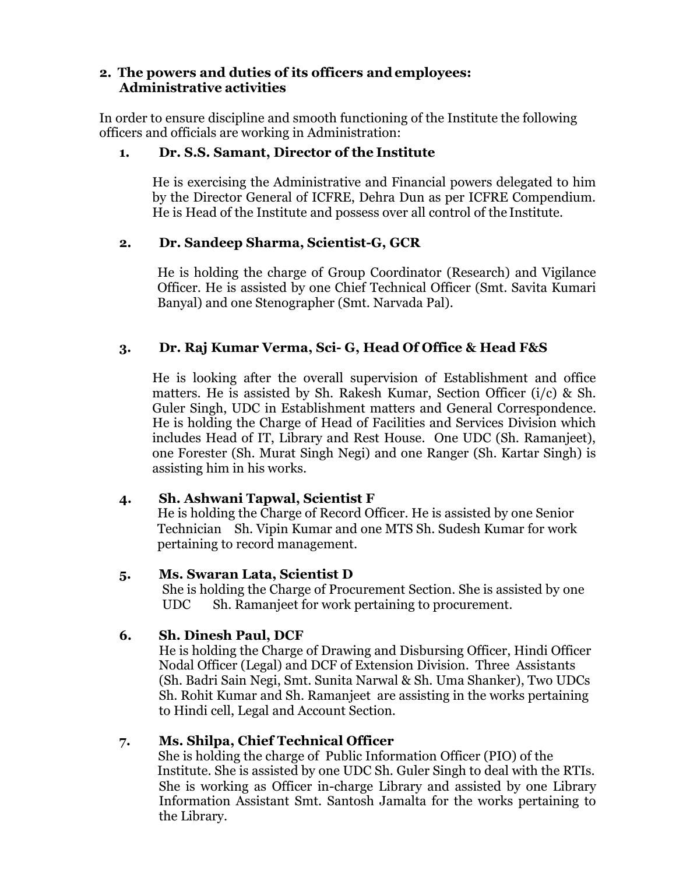### **2. The powers and duties of its officers andemployees: Administrative activities**

In order to ensure discipline and smooth functioning of the Institute the following officers and officials are working in Administration:

#### **1. Dr. S.S. Samant, Director of the Institute**

He is exercising the Administrative and Financial powers delegated to him by the Director General of ICFRE, Dehra Dun as per ICFRE Compendium. He is Head of the Institute and possess over all control of the Institute.

#### **2. Dr. Sandeep Sharma, Scientist-G, GCR**

He is holding the charge of Group Coordinator (Research) and Vigilance Officer. He is assisted by one Chief Technical Officer (Smt. Savita Kumari Banyal) and one Stenographer (Smt. Narvada Pal).

### **3. Dr. Raj Kumar Verma, Sci- G, Head Of Office & Head F&S**

He is looking after the overall supervision of Establishment and office matters. He is assisted by Sh. Rakesh Kumar, Section Officer (i/c) & Sh. Guler Singh, UDC in Establishment matters and General Correspondence. He is holding the Charge of Head of Facilities and Services Division which includes Head of IT, Library and Rest House. One UDC (Sh. Ramanjeet), one Forester (Sh. Murat Singh Negi) and one Ranger (Sh. Kartar Singh) is assisting him in his works.

### **4. Sh. Ashwani Tapwal, Scientist F**

He is holding the Charge of Record Officer. He is assisted by one Senior Technician Sh. Vipin Kumar and one MTS Sh. Sudesh Kumar for work pertaining to record management.

#### **5. Ms. Swaran Lata, Scientist D**

She is holding the Charge of Procurement Section. She is assisted by one UDC Sh. Ramanjeet for work pertaining to procurement.

### **6. Sh. Dinesh Paul, DCF**

He is holding the Charge of Drawing and Disbursing Officer, Hindi Officer Nodal Officer (Legal) and DCF of Extension Division. Three Assistants (Sh. Badri Sain Negi, Smt. Sunita Narwal & Sh. Uma Shanker), Two UDCs Sh. Rohit Kumar and Sh. Ramanjeet are assisting in the works pertaining to Hindi cell, Legal and Account Section.

### **7. Ms. Shilpa, Chief Technical Officer**

 She is holding the charge of Public Information Officer (PIO) of the Institute. She is assisted by one UDC Sh. Guler Singh to deal with the RTIs. She is working as Officer in-charge Library and assisted by one Library Information Assistant Smt. Santosh Jamalta for the works pertaining to the Library.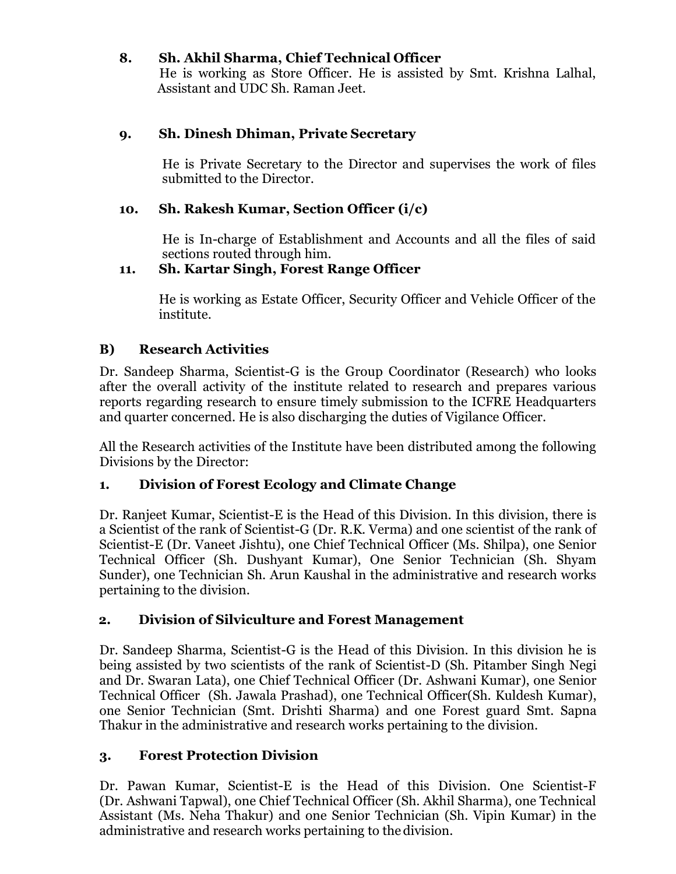### **8. Sh. Akhil Sharma, Chief Technical Officer**

 He is working as Store Officer. He is assisted by Smt. Krishna Lalhal, Assistant and UDC Sh. Raman Jeet.

### **9. Sh. Dinesh Dhiman, Private Secretary**

He is Private Secretary to the Director and supervises the work of files submitted to the Director.

## **10. Sh. Rakesh Kumar, Section Officer (i/c)**

He is In-charge of Establishment and Accounts and all the files of said sections routed through him.

### **11. Sh. Kartar Singh, Forest Range Officer**

He is working as Estate Officer, Security Officer and Vehicle Officer of the institute.

## **B) Research Activities**

Dr. Sandeep Sharma, Scientist-G is the Group Coordinator (Research) who looks after the overall activity of the institute related to research and prepares various reports regarding research to ensure timely submission to the ICFRE Headquarters and quarter concerned. He is also discharging the duties of Vigilance Officer.

All the Research activities of the Institute have been distributed among the following Divisions by the Director:

### **1. Division of Forest Ecology and Climate Change**

Dr. Ranjeet Kumar, Scientist-E is the Head of this Division. In this division, there is a Scientist of the rank of Scientist-G (Dr. R.K. Verma) and one scientist of the rank of Scientist-E (Dr. Vaneet Jishtu), one Chief Technical Officer (Ms. Shilpa), one Senior Technical Officer (Sh. Dushyant Kumar), One Senior Technician (Sh. Shyam Sunder), one Technician Sh. Arun Kaushal in the administrative and research works pertaining to the division.

### **2. Division of Silviculture and Forest Management**

Dr. Sandeep Sharma, Scientist-G is the Head of this Division. In this division he is being assisted by two scientists of the rank of Scientist-D (Sh. Pitamber Singh Negi and Dr. Swaran Lata), one Chief Technical Officer (Dr. Ashwani Kumar), one Senior Technical Officer (Sh. Jawala Prashad), one Technical Officer(Sh. Kuldesh Kumar), one Senior Technician (Smt. Drishti Sharma) and one Forest guard Smt. Sapna Thakur in the administrative and research works pertaining to the division.

## **3. Forest Protection Division**

Dr. Pawan Kumar, Scientist-E is the Head of this Division. One Scientist-F (Dr. Ashwani Tapwal), one Chief Technical Officer (Sh. Akhil Sharma), one Technical Assistant (Ms. Neha Thakur) and one Senior Technician (Sh. Vipin Kumar) in the administrative and research works pertaining to the division.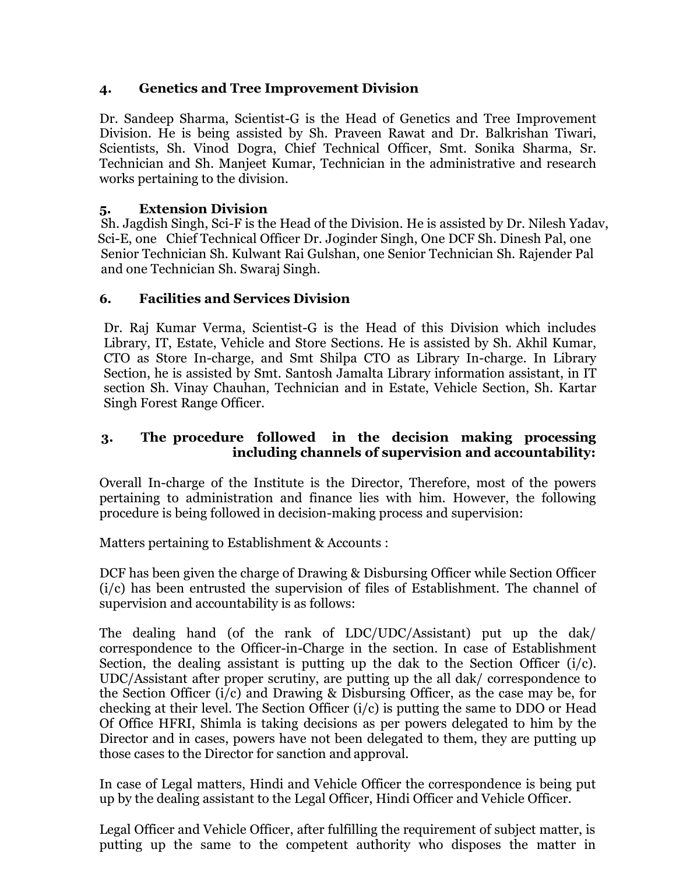## **4. Genetics and Tree Improvement Division**

Dr. Sandeep Sharma, Scientist-G is the Head of Genetics and Tree Improvement Division. He is being assisted by Sh. Praveen Rawat and Dr. Balkrishan Tiwari, Scientists, Sh. Vinod Dogra, Chief Technical Officer, Smt. Sonika Sharma, Sr. Technician and Sh. Manjeet Kumar, Technician in the administrative and research works pertaining to the division.

### **5. Extension Division**

Sh. Jagdish Singh, Sci-F is the Head of the Division. He is assisted by Dr. Nilesh Yadav, Sci-E, one Chief Technical Officer Dr. Joginder Singh, One DCF Sh. Dinesh Pal, one Senior Technician Sh. Kulwant Rai Gulshan, one Senior Technician Sh. Rajender Pal and one Technician Sh. Swaraj Singh.

## **6. Facilities and Services Division**

Dr. Raj Kumar Verma, Scientist-G is the Head of this Division which includes Library, IT, Estate, Vehicle and Store Sections. He is assisted by Sh. Akhil Kumar, CTO as Store In-charge, and Smt Shilpa CTO as Library In-charge. In Library Section, he is assisted by Smt. Santosh Jamalta Library information assistant, in IT section Sh. Vinay Chauhan, Technician and in Estate, Vehicle Section, Sh. Kartar Singh Forest Range Officer.

### **3. The procedure followed in the decision making processing including channels of supervision and accountability:**

Overall In-charge of the Institute is the Director, Therefore, most of the powers pertaining to administration and finance lies with him. However, the following procedure is being followed in decision-making process and supervision:

Matters pertaining to Establishment & Accounts :

DCF has been given the charge of Drawing & Disbursing Officer while Section Officer (i/c) has been entrusted the supervision of files of Establishment. The channel of supervision and accountability is as follows:

The dealing hand (of the rank of LDC/UDC/Assistant) put up the dak/ correspondence to the Officer-in-Charge in the section. In case of Establishment Section, the dealing assistant is putting up the dak to the Section Officer  $(i/c)$ . UDC/Assistant after proper scrutiny, are putting up the all dak/ correspondence to the Section Officer (i/c) and Drawing & Disbursing Officer, as the case may be, for checking at their level. The Section Officer (i/c) is putting the same to DDO or Head Of Office HFRI, Shimla is taking decisions as per powers delegated to him by the Director and in cases, powers have not been delegated to them, they are putting up those cases to the Director for sanction and approval.

In case of Legal matters, Hindi and Vehicle Officer the correspondence is being put up by the dealing assistant to the Legal Officer, Hindi Officer and Vehicle Officer.

Legal Officer and Vehicle Officer, after fulfilling the requirement of subject matter, is putting up the same to the competent authority who disposes the matter in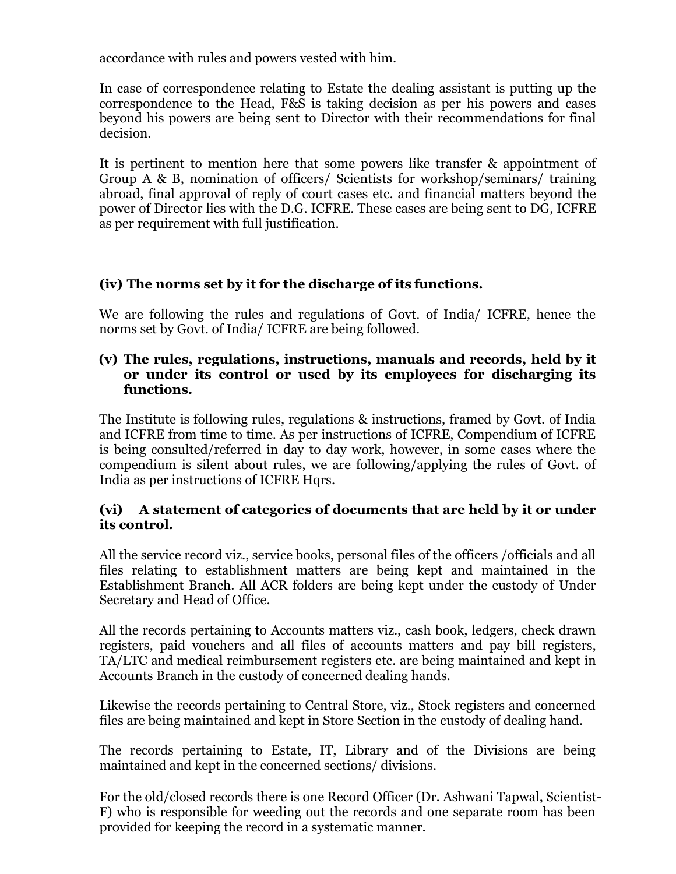accordance with rules and powers vested with him.

In case of correspondence relating to Estate the dealing assistant is putting up the correspondence to the Head, F&S is taking decision as per his powers and cases beyond his powers are being sent to Director with their recommendations for final decision.

It is pertinent to mention here that some powers like transfer & appointment of Group A & B, nomination of officers/ Scientists for workshop/seminars/ training abroad, final approval of reply of court cases etc. and financial matters beyond the power of Director lies with the D.G. ICFRE. These cases are being sent to DG, ICFRE as per requirement with full justification.

## **(iv) The norms set by it for the discharge of its functions.**

We are following the rules and regulations of Govt. of India/ ICFRE, hence the norms set by Govt. of India/ ICFRE are being followed.

#### **(v) The rules, regulations, instructions, manuals and records, held by it or under its control or used by its employees for discharging its functions.**

The Institute is following rules, regulations & instructions, framed by Govt. of India and ICFRE from time to time. As per instructions of ICFRE, Compendium of ICFRE is being consulted/referred in day to day work, however, in some cases where the compendium is silent about rules, we are following/applying the rules of Govt. of India as per instructions of ICFRE Hqrs.

#### **(vi) A statement of categories of documents that are held by it or under its control.**

All the service record viz., service books, personal files of the officers /officials and all files relating to establishment matters are being kept and maintained in the Establishment Branch. All ACR folders are being kept under the custody of Under Secretary and Head of Office.

All the records pertaining to Accounts matters viz., cash book, ledgers, check drawn registers, paid vouchers and all files of accounts matters and pay bill registers, TA/LTC and medical reimbursement registers etc. are being maintained and kept in Accounts Branch in the custody of concerned dealing hands.

Likewise the records pertaining to Central Store, viz., Stock registers and concerned files are being maintained and kept in Store Section in the custody of dealing hand.

The records pertaining to Estate, IT, Library and of the Divisions are being maintained and kept in the concerned sections/ divisions.

For the old/closed records there is one Record Officer (Dr. Ashwani Tapwal, Scientist-F) who is responsible for weeding out the records and one separate room has been provided for keeping the record in a systematic manner.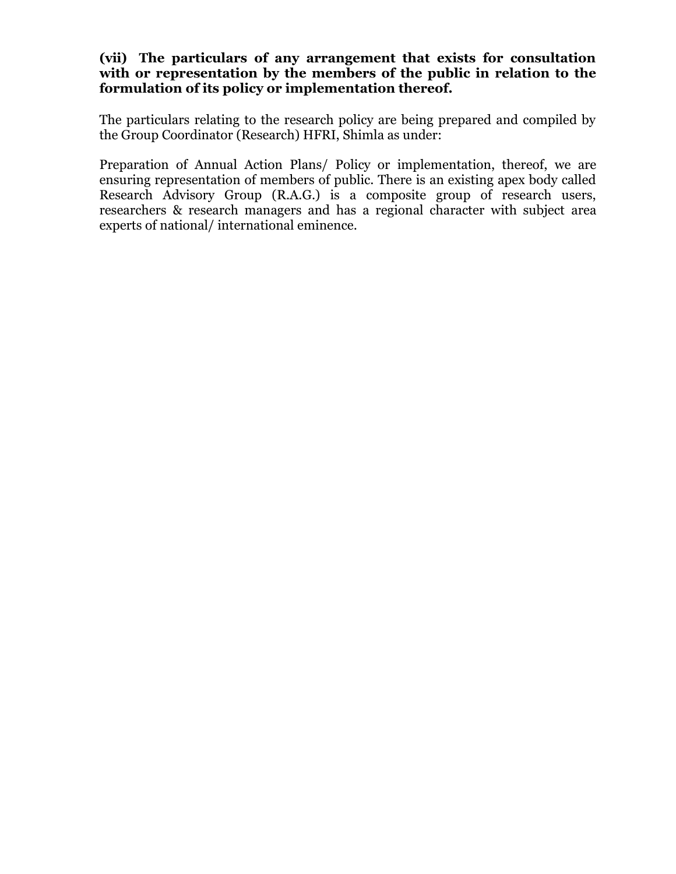#### **(vii) The particulars of any arrangement that exists for consultation with or representation by the members of the public in relation to the formulation of its policy or implementation thereof.**

The particulars relating to the research policy are being prepared and compiled by the Group Coordinator (Research) HFRI, Shimla as under:

Preparation of Annual Action Plans/ Policy or implementation, thereof, we are ensuring representation of members of public. There is an existing apex body called Research Advisory Group (R.A.G.) is a composite group of research users, researchers & research managers and has a regional character with subject area experts of national/ international eminence.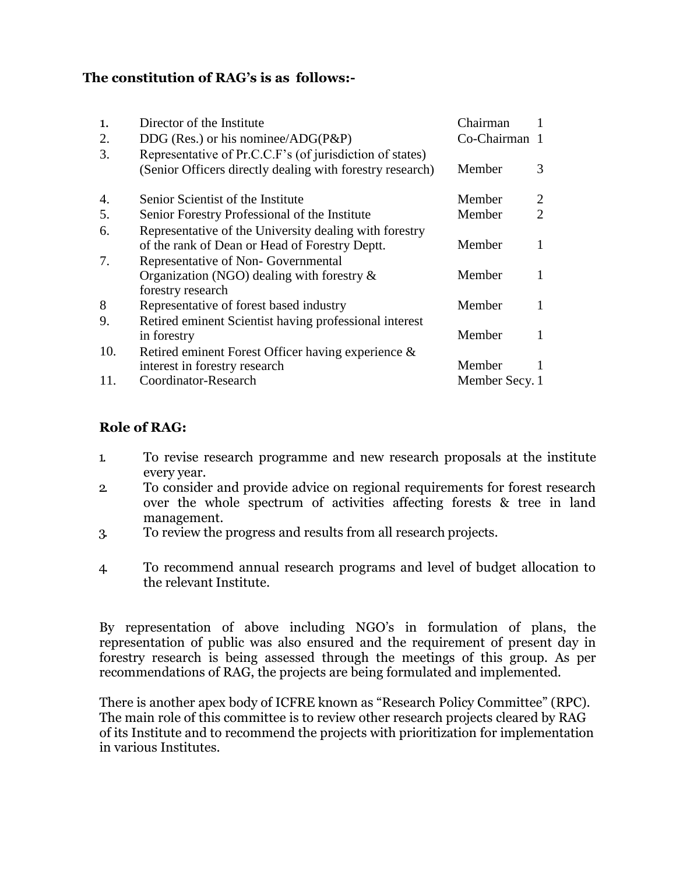## **The constitution of RAG's is as follows:-**

| $\mathbf{1}$ . | Director of the Institute                                          | Chairman       |                             |
|----------------|--------------------------------------------------------------------|----------------|-----------------------------|
| 2.             | DDG (Res.) or his nominee/ADG( $P\&P$ )                            | Co-Chairman    |                             |
| 3.             | Representative of Pr.C.C.F's (of jurisdiction of states)           |                |                             |
|                | (Senior Officers directly dealing with forestry research)          | Member         | 3                           |
| 4.             | Senior Scientist of the Institute                                  | Member         | 2                           |
| 5.             | Senior Forestry Professional of the Institute                      | Member         | $\mathcal{D}_{\mathcal{L}}$ |
| 6.             | Representative of the University dealing with forestry             |                |                             |
|                | of the rank of Dean or Head of Forestry Deptt.                     | Member         |                             |
| 7.             | Representative of Non-Governmental                                 |                |                             |
|                | Organization (NGO) dealing with forestry $\&$<br>forestry research | Member         |                             |
| 8              | Representative of forest based industry                            | Member         |                             |
| 9.             | Retired eminent Scientist having professional interest             |                |                             |
|                | in forestry                                                        | Member         |                             |
| 10.            | Retired eminent Forest Officer having experience &                 |                |                             |
|                | interest in forestry research                                      | Member         |                             |
| 11.            | Coordinator-Research                                               | Member Secy. 1 |                             |

## **Role of RAG:**

- 1. To revise research programme and new research proposals at the institute every year.
- 2. To consider and provide advice on regional requirements for forest research over the whole spectrum of activities affecting forests & tree in land management.
- 3. To review the progress and results from all research projects.
- 4. To recommend annual research programs and level of budget allocation to the relevant Institute.

By representation of above including NGO's in formulation of plans, the representation of public was also ensured and the requirement of present day in forestry research is being assessed through the meetings of this group. As per recommendations of RAG, the projects are being formulated and implemented.

There is another apex body of ICFRE known as "Research Policy Committee" (RPC). The main role of this committee is to review other research projects cleared by RAG of its Institute and to recommend the projects with prioritization for implementation in various Institutes.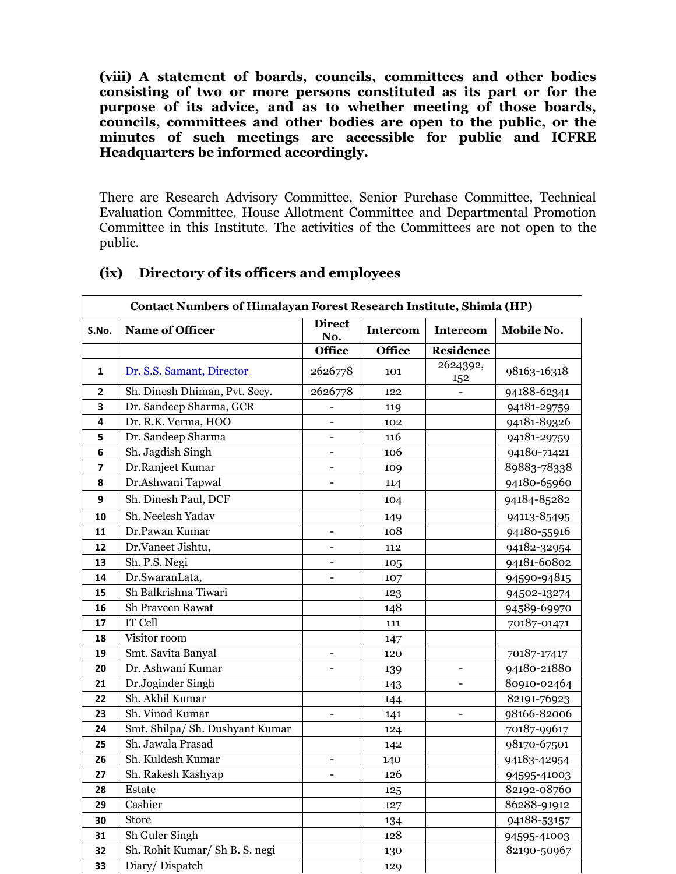**(viii) A statement of boards, councils, committees and other bodies consisting of two or more persons constituted as its part or for the purpose of its advice, and as to whether meeting of those boards, councils, committees and other bodies are open to the public, or the minutes of such meetings are accessible for public and ICFRE Headquarters be informed accordingly.**

There are Research Advisory Committee, Senior Purchase Committee, Technical Evaluation Committee, House Allotment Committee and Departmental Promotion Committee in this Institute. The activities of the Committees are not open to the public.

|                         | <b>Contact Numbers of Himalayan Forest Research Institute, Shimla (HP)</b> |                          |                 |                   |             |  |  |  |  |
|-------------------------|----------------------------------------------------------------------------|--------------------------|-----------------|-------------------|-------------|--|--|--|--|
| S.No.                   | Name of Officer                                                            | <b>Direct</b><br>No.     | <b>Intercom</b> | <b>Intercom</b>   | Mobile No.  |  |  |  |  |
|                         |                                                                            | <b>Office</b>            | <b>Office</b>   | <b>Residence</b>  |             |  |  |  |  |
| $\mathbf{1}$            | Dr. S.S. Samant, Director                                                  | 2626778                  | 101             | 2624392,<br>152   | 98163-16318 |  |  |  |  |
| $\overline{2}$          | Sh. Dinesh Dhiman, Pvt. Secy.                                              | 2626778                  | 122             |                   | 94188-62341 |  |  |  |  |
| 3                       | Dr. Sandeep Sharma, GCR                                                    |                          | 119             |                   | 94181-29759 |  |  |  |  |
| 4                       | Dr. R.K. Verma, HOO                                                        | $\blacksquare$           | 102             |                   | 94181-89326 |  |  |  |  |
| 5                       | Dr. Sandeep Sharma                                                         |                          | 116             |                   | 94181-29759 |  |  |  |  |
| 6                       | Sh. Jagdish Singh                                                          |                          | 106             |                   | 94180-71421 |  |  |  |  |
| $\overline{\mathbf{z}}$ | Dr.Ranjeet Kumar                                                           | $\overline{a}$           | 109             |                   | 89883-78338 |  |  |  |  |
| 8                       | Dr.Ashwani Tapwal                                                          | $\overline{a}$           | 114             |                   | 94180-65960 |  |  |  |  |
| 9                       | Sh. Dinesh Paul, DCF                                                       |                          | 104             |                   | 94184-85282 |  |  |  |  |
| 10                      | Sh. Neelesh Yadav                                                          |                          | 149             |                   | 94113-85495 |  |  |  |  |
| 11                      | Dr.Pawan Kumar                                                             | $\qquad \qquad -$        | 108             |                   | 94180-55916 |  |  |  |  |
| 12                      | Dr.Vaneet Jishtu,                                                          | $\qquad \qquad -$        | 112             |                   | 94182-32954 |  |  |  |  |
| 13                      | Sh. P.S. Negi                                                              | $\overline{\phantom{0}}$ | 105             |                   | 94181-60802 |  |  |  |  |
| 14                      | Dr.SwaranLata,                                                             | $\overline{\phantom{0}}$ | 107             |                   | 94590-94815 |  |  |  |  |
| 15                      | Sh Balkrishna Tiwari                                                       |                          | 123             |                   | 94502-13274 |  |  |  |  |
| 16                      | Sh Praveen Rawat                                                           |                          | 148             |                   | 94589-69970 |  |  |  |  |
| 17                      | IT Cell                                                                    |                          | 111             |                   | 70187-01471 |  |  |  |  |
| 18                      | Visitor room                                                               |                          | 147             |                   |             |  |  |  |  |
| 19                      | Smt. Savita Banyal                                                         | $\overline{\phantom{0}}$ | 120             |                   | 70187-17417 |  |  |  |  |
| 20                      | Dr. Ashwani Kumar                                                          |                          | 139             | $\qquad \qquad -$ | 94180-21880 |  |  |  |  |
| 21                      | Dr.Joginder Singh                                                          |                          | 143             |                   | 80910-02464 |  |  |  |  |
| 22                      | Sh. Akhil Kumar                                                            |                          | 144             |                   | 82191-76923 |  |  |  |  |
| 23                      | Sh. Vinod Kumar                                                            | $\blacksquare$           | 141             | $\blacksquare$    | 98166-82006 |  |  |  |  |
| 24                      | Smt. Shilpa/ Sh. Dushyant Kumar                                            |                          | 124             |                   | 70187-99617 |  |  |  |  |
| 25                      | Sh. Jawala Prasad                                                          |                          | 142             |                   | 98170-67501 |  |  |  |  |
| 26                      | Sh. Kuldesh Kumar                                                          | $\blacksquare$           | 140             |                   | 94183-42954 |  |  |  |  |
| 27                      | Sh. Rakesh Kashyap                                                         | $\overline{a}$           | 126             |                   | 94595-41003 |  |  |  |  |
| 28                      | Estate                                                                     |                          | 125             |                   | 82192-08760 |  |  |  |  |
| 29                      | Cashier                                                                    |                          | 127             |                   | 86288-91912 |  |  |  |  |
| 30                      | <b>Store</b>                                                               |                          | 134             |                   | 94188-53157 |  |  |  |  |
| 31                      | Sh Guler Singh                                                             |                          | 128             |                   | 94595-41003 |  |  |  |  |
| 32                      | Sh. Rohit Kumar/ Sh B. S. negi                                             |                          | 130             |                   | 82190-50967 |  |  |  |  |
| 33                      | Diary/Dispatch                                                             |                          | 129             |                   |             |  |  |  |  |

#### **(ix) Directory of its officers and employees**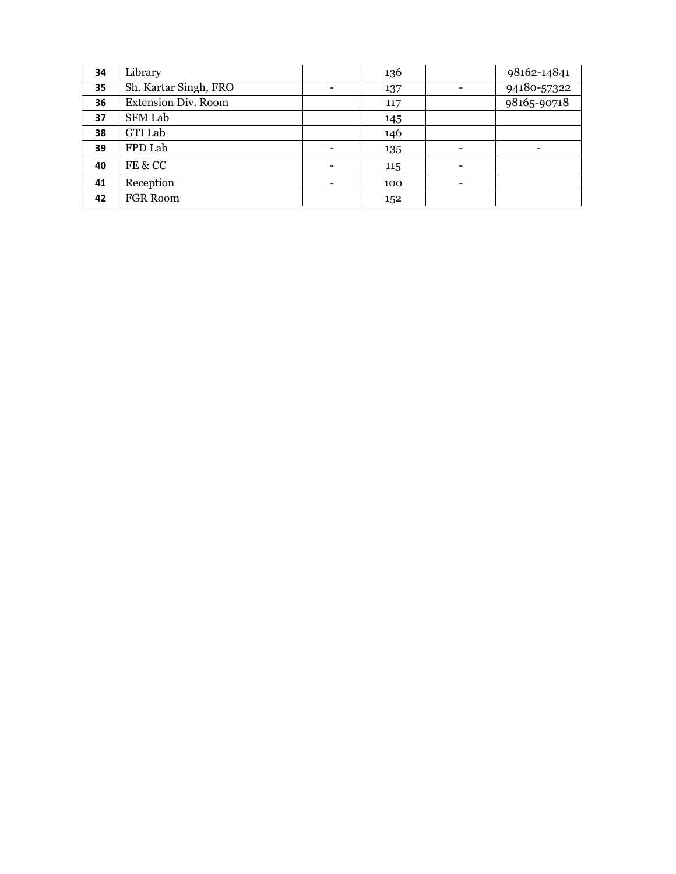| 34 | Library                    |                          | 136 | 98162-14841 |
|----|----------------------------|--------------------------|-----|-------------|
| 35 | Sh. Kartar Singh, FRO      |                          | 137 | 94180-57322 |
| 36 | <b>Extension Div. Room</b> |                          | 117 | 98165-90718 |
| 37 | <b>SFM Lab</b>             |                          | 145 |             |
| 38 | <b>GTI Lab</b>             |                          | 146 |             |
| 39 | FPD Lab                    |                          | 135 |             |
| 40 | FE & CC                    | $\overline{\phantom{0}}$ | 115 |             |
| 41 | Reception                  |                          | 100 |             |
| 42 | <b>FGR Room</b>            |                          | 152 |             |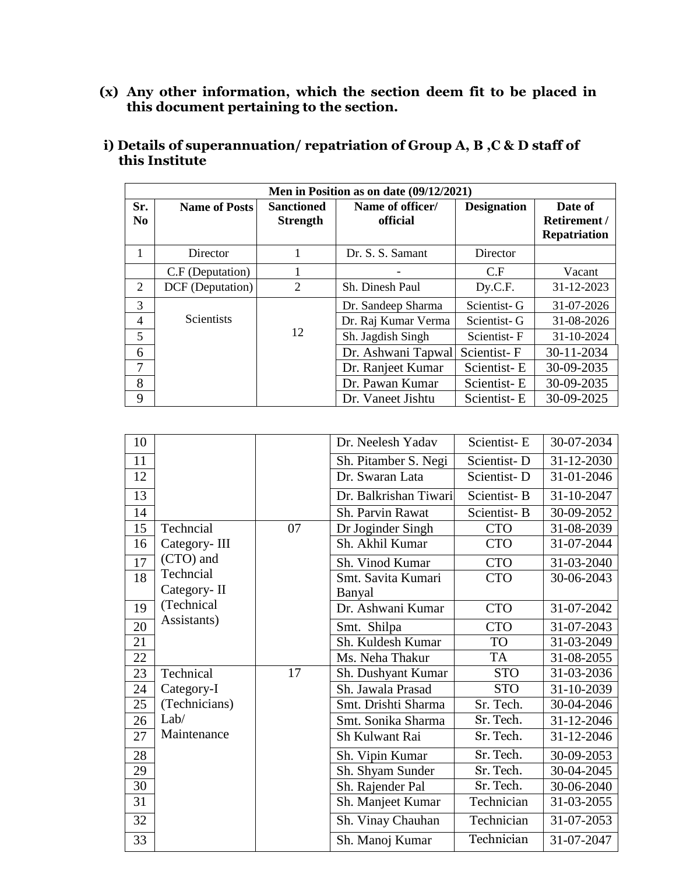**(x) Any other information, which the section deem fit to be placed in this document pertaining to the section.**

|                       | Men in Position as on date (09/12/2021) |                                      |                              |                    |                                                |  |  |  |  |  |
|-----------------------|-----------------------------------------|--------------------------------------|------------------------------|--------------------|------------------------------------------------|--|--|--|--|--|
| Sr.<br>N <sub>0</sub> | <b>Name of Posts</b>                    | <b>Sanctioned</b><br><b>Strength</b> | Name of officer/<br>official | <b>Designation</b> | Date of<br>Retirement /<br><b>Repatriation</b> |  |  |  |  |  |
| 1                     | Director                                |                                      | Dr. S. S. Samant             | Director           |                                                |  |  |  |  |  |
|                       | C.F (Deputation)                        |                                      |                              | C.F                | Vacant                                         |  |  |  |  |  |
| $\overline{2}$        | DCF (Deputation)                        | $\overline{2}$                       | Sh. Dinesh Paul              | Dy.C.F.            | 31-12-2023                                     |  |  |  |  |  |
| 3                     |                                         |                                      | Dr. Sandeep Sharma           | Scientist-G        | 31-07-2026                                     |  |  |  |  |  |
| $\overline{4}$        | <b>Scientists</b>                       |                                      | Dr. Raj Kumar Verma          | Scientist-G        | 31-08-2026                                     |  |  |  |  |  |
| 5                     |                                         | 12                                   | Sh. Jagdish Singh            | Scientist-F        | 31-10-2024                                     |  |  |  |  |  |
| 6                     |                                         |                                      | Dr. Ashwani Tapwal           | Scientist-F        | 30-11-2034                                     |  |  |  |  |  |
| 7                     |                                         |                                      | Dr. Ranjeet Kumar            | Scientist-E        | 30-09-2035                                     |  |  |  |  |  |
| 8                     |                                         |                                      | Dr. Pawan Kumar              | Scientist-E        | 30-09-2035                                     |  |  |  |  |  |
| 9                     |                                         |                                      | Dr. Vaneet Jishtu            | Scientist-E        | 30-09-2025                                     |  |  |  |  |  |

**i) Details of superannuation/ repatriation of Group A, B ,C & D staff of this Institute**

| 10 |               |    | Dr. Neelesh Yadav     | Scientist-E | 30-07-2034 |
|----|---------------|----|-----------------------|-------------|------------|
|    |               |    |                       |             |            |
| 11 |               |    | Sh. Pitamber S. Negi  | Scientist-D | 31-12-2030 |
| 12 |               |    | Dr. Swaran Lata       | Scientist-D | 31-01-2046 |
| 13 |               |    | Dr. Balkrishan Tiwari | Scientist-B | 31-10-2047 |
| 14 |               |    | Sh. Parvin Rawat      | Scientist-B | 30-09-2052 |
| 15 | Techncial     | 07 | Dr Joginder Singh     | <b>CTO</b>  | 31-08-2039 |
| 16 | Category-III  |    | Sh. Akhil Kumar       | <b>CTO</b>  | 31-07-2044 |
| 17 | (CTO) and     |    | Sh. Vinod Kumar       | <b>CTO</b>  | 31-03-2040 |
| 18 | Techncial     |    | Smt. Savita Kumari    | <b>CTO</b>  | 30-06-2043 |
|    | Category-II   |    | Banyal                |             |            |
| 19 | (Technical)   |    | Dr. Ashwani Kumar     | <b>CTO</b>  | 31-07-2042 |
| 20 | Assistants)   |    | Smt. Shilpa           | <b>CTO</b>  | 31-07-2043 |
| 21 |               |    | Sh. Kuldesh Kumar     | <b>TO</b>   | 31-03-2049 |
| 22 |               |    | Ms. Neha Thakur       | TA          | 31-08-2055 |
| 23 | Technical     | 17 | Sh. Dushyant Kumar    | <b>STO</b>  | 31-03-2036 |
| 24 | Category-I    |    | Sh. Jawala Prasad     | <b>STO</b>  | 31-10-2039 |
| 25 | (Technicians) |    | Smt. Drishti Sharma   | Sr. Tech.   | 30-04-2046 |
| 26 | Lab/          |    | Smt. Sonika Sharma    | Sr. Tech.   | 31-12-2046 |
| 27 | Maintenance   |    | Sh Kulwant Rai        | Sr. Tech.   | 31-12-2046 |
| 28 |               |    | Sh. Vipin Kumar       | Sr. Tech.   | 30-09-2053 |
| 29 |               |    | Sh. Shyam Sunder      | Sr. Tech.   | 30-04-2045 |
| 30 |               |    | Sh. Rajender Pal      | Sr. Tech.   | 30-06-2040 |
| 31 |               |    | Sh. Manjeet Kumar     | Technician  | 31-03-2055 |
| 32 |               |    | Sh. Vinay Chauhan     | Technician  | 31-07-2053 |
| 33 |               |    | Sh. Manoj Kumar       | Technician  | 31-07-2047 |
|    |               |    |                       |             |            |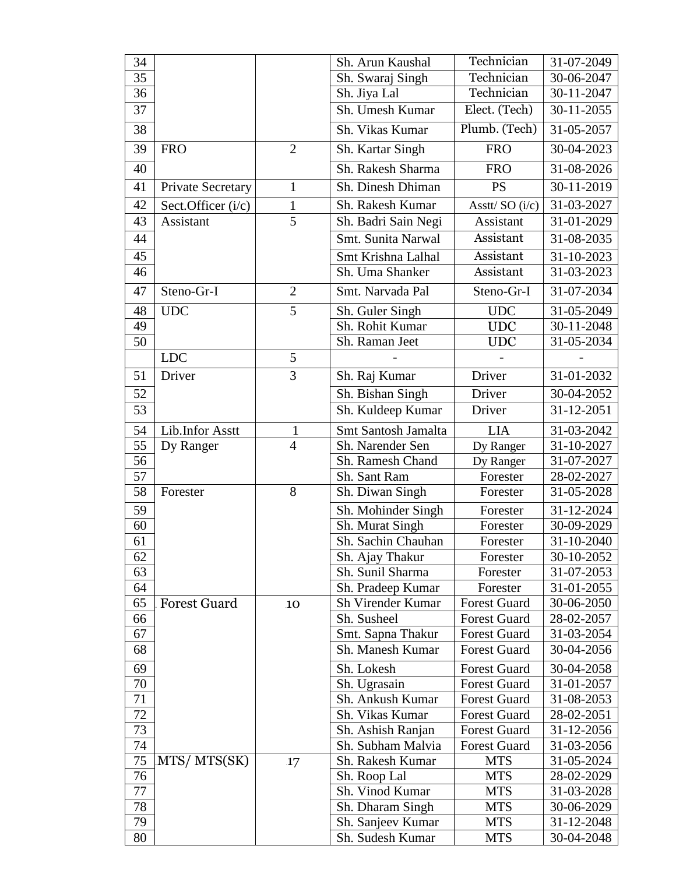| 34     |                          |                | Sh. Arun Kaushal              | Technician          | 31-07-2049 |
|--------|--------------------------|----------------|-------------------------------|---------------------|------------|
| 35     |                          |                | Sh. Swaraj Singh              | Technician          | 30-06-2047 |
| 36     |                          |                | Sh. Jiya Lal                  | Technician          | 30-11-2047 |
| 37     |                          |                | Sh. Umesh Kumar               | Elect. (Tech)       | 30-11-2055 |
| 38     |                          |                | Sh. Vikas Kumar               | Plumb. (Tech)       | 31-05-2057 |
| 39     | <b>FRO</b>               | $\overline{2}$ | Sh. Kartar Singh              | <b>FRO</b>          | 30-04-2023 |
| 40     |                          |                | Sh. Rakesh Sharma             | <b>FRO</b>          | 31-08-2026 |
| 41     | <b>Private Secretary</b> | $\mathbf{1}$   | Sh. Dinesh Dhiman             | <b>PS</b>           | 30-11-2019 |
| 42     | Sect.Officer (i/c)       | $\mathbf{1}$   | Sh. Rakesh Kumar              | Asstt/SO (i/c)      | 31-03-2027 |
| 43     | Assistant                | $\overline{5}$ | Sh. Badri Sain Negi           | Assistant           | 31-01-2029 |
| 44     |                          |                | Smt. Sunita Narwal            | Assistant           | 31-08-2035 |
| 45     |                          |                | Smt Krishna Lalhal            | Assistant           | 31-10-2023 |
| 46     |                          |                | Sh. Uma Shanker               | Assistant           | 31-03-2023 |
| 47     | Steno-Gr-I               | $\overline{2}$ | Smt. Narvada Pal              | Steno-Gr-I          | 31-07-2034 |
| 48     | <b>UDC</b>               | $\overline{5}$ | Sh. Guler Singh               | <b>UDC</b>          | 31-05-2049 |
| 49     |                          |                | Sh. Rohit Kumar               | <b>UDC</b>          | 30-11-2048 |
| 50     |                          |                | Sh. Raman Jeet                | <b>UDC</b>          | 31-05-2034 |
|        | <b>LDC</b>               | 5              |                               |                     |            |
| 51     | Driver                   | 3              | Sh. Raj Kumar                 | Driver              | 31-01-2032 |
| 52     |                          |                | Sh. Bishan Singh              | Driver              | 30-04-2052 |
| 53     |                          |                | Sh. Kuldeep Kumar             | Driver              | 31-12-2051 |
| 54     | Lib.Infor Asstt          | $\mathbf{1}$   | Smt Santosh Jamalta           | <b>LIA</b>          | 31-03-2042 |
| 55     | Dy Ranger                | $\overline{4}$ | Sh. Narender Sen<br>Dy Ranger |                     | 31-10-2027 |
| 56     |                          |                | Sh. Ramesh Chand              | Dy Ranger           | 31-07-2027 |
| 57     |                          |                | Sh. Sant Ram                  | Forester            | 28-02-2027 |
| 58     | Forester                 | 8              | Sh. Diwan Singh               | Forester            | 31-05-2028 |
| 59     |                          |                | Sh. Mohinder Singh            | Forester            | 31-12-2024 |
| 60     |                          |                | Sh. Murat Singh               | Forester            | 30-09-2029 |
| 61     |                          |                | Sh. Sachin Chauhan            | Forester            | 31-10-2040 |
| 62     |                          |                | Sh. Ajay Thakur               | Forester            | 30-10-2052 |
| 63     |                          |                | Sh. Sunil Sharma              | Forester            | 31-07-2053 |
| 64     |                          |                | Sh. Pradeep Kumar             | Forester            | 31-01-2055 |
| 65     | <b>Forest Guard</b>      | 10             | Sh Virender Kumar             | <b>Forest Guard</b> | 30-06-2050 |
| 66     |                          |                | Sh. Susheel                   | <b>Forest Guard</b> | 28-02-2057 |
| 67     |                          |                | Smt. Sapna Thakur             | <b>Forest Guard</b> | 31-03-2054 |
| 68     |                          |                | Sh. Manesh Kumar              | <b>Forest Guard</b> | 30-04-2056 |
| 69     |                          |                | Sh. Lokesh                    | <b>Forest Guard</b> | 30-04-2058 |
| 70     |                          |                | Sh. Ugrasain                  | <b>Forest Guard</b> | 31-01-2057 |
| 71     |                          |                | Sh. Ankush Kumar              | <b>Forest Guard</b> | 31-08-2053 |
| $72\,$ |                          |                | Sh. Vikas Kumar               | <b>Forest Guard</b> | 28-02-2051 |
| 73     |                          |                | Sh. Ashish Ranjan             | <b>Forest Guard</b> | 31-12-2056 |
| 74     |                          |                | Sh. Subham Malvia             | <b>Forest Guard</b> | 31-03-2056 |
| 75     | MTS/MTS(SK)              | .17            | Sh. Rakesh Kumar              | <b>MTS</b>          | 31-05-2024 |
| 76     |                          |                | Sh. Roop Lal                  | <b>MTS</b>          | 28-02-2029 |
| 77     |                          |                | Sh. Vinod Kumar               | <b>MTS</b>          | 31-03-2028 |
| 78     |                          |                | Sh. Dharam Singh              | <b>MTS</b>          | 30-06-2029 |
| 79     |                          |                | Sh. Sanjeev Kumar             | <b>MTS</b>          | 31-12-2048 |
| 80     |                          |                | Sh. Sudesh Kumar              | <b>MTS</b>          | 30-04-2048 |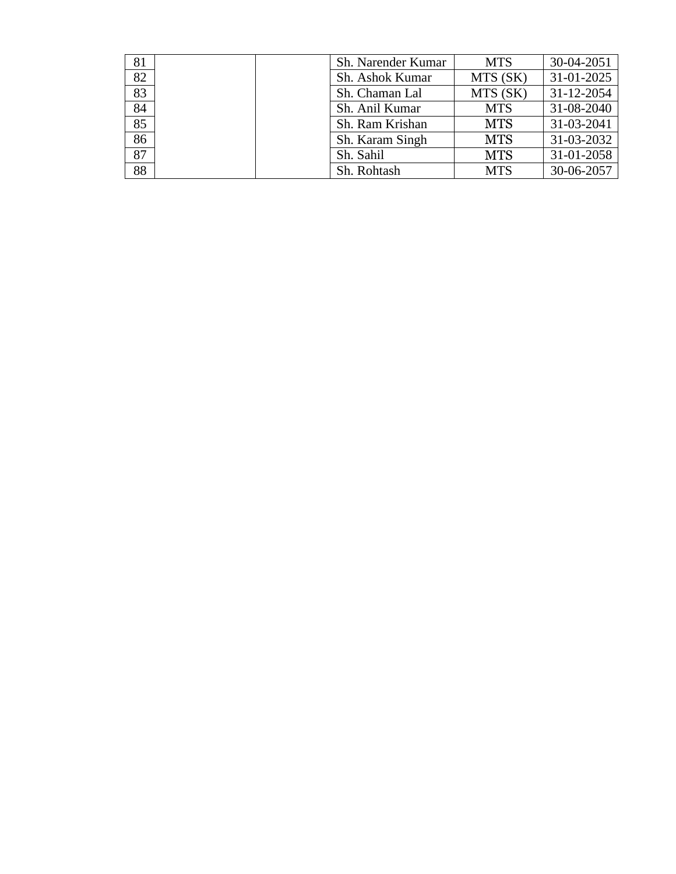| 81              | Sh. Narender Kumar | <b>MTS</b> | 30-04-2051 |
|-----------------|--------------------|------------|------------|
| 82              | Sh. Ashok Kumar    | MTS (SK)   | 31-01-2025 |
| 83              | Sh. Chaman Lal     | MTS (SK)   | 31-12-2054 |
| 84              | Sh. Anil Kumar     | <b>MTS</b> | 31-08-2040 |
| 85              | Sh. Ram Krishan    | <b>MTS</b> | 31-03-2041 |
| 86              | Sh. Karam Singh    | <b>MTS</b> | 31-03-2032 |
| $\overline{87}$ | Sh. Sahil          | <b>MTS</b> | 31-01-2058 |
| 88              | Sh. Rohtash        | <b>MTS</b> | 30-06-2057 |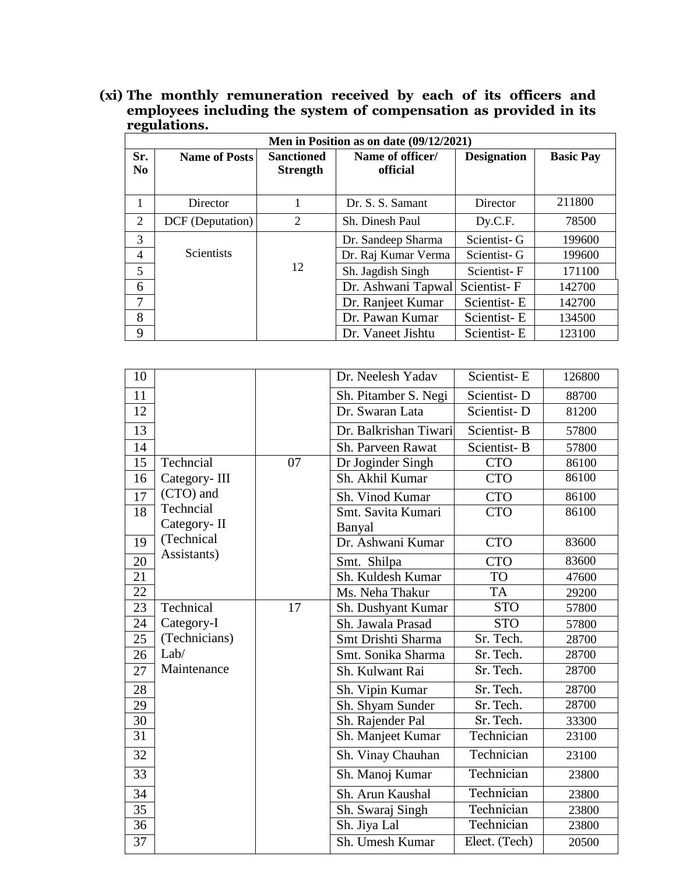#### **(xi) The monthly remuneration received by each of its officers and employees including the system of compensation as provided in its regulations.**

|                       | Men in Position as on date (09/12/2021) |                                      |                              |                    |                  |  |  |  |  |  |
|-----------------------|-----------------------------------------|--------------------------------------|------------------------------|--------------------|------------------|--|--|--|--|--|
| Sr.<br>N <sub>0</sub> | <b>Name of Posts</b>                    | <b>Sanctioned</b><br><b>Strength</b> | Name of officer/<br>official | <b>Designation</b> | <b>Basic Pay</b> |  |  |  |  |  |
| 1                     | Director                                |                                      | Dr. S. S. Samant             | Director           | 211800           |  |  |  |  |  |
| 2                     | DCF (Deputation)                        | 2                                    | Sh. Dinesh Paul              | Dy.C.F.            | 78500            |  |  |  |  |  |
| 3                     |                                         |                                      | Dr. Sandeep Sharma           | Scientist-G        | 199600           |  |  |  |  |  |
| $\overline{4}$        | <b>Scientists</b>                       |                                      | Dr. Raj Kumar Verma          | Scientist-G        | 199600           |  |  |  |  |  |
| 5                     |                                         | 12                                   | Sh. Jagdish Singh            | Scientist-F        | 171100           |  |  |  |  |  |
| 6                     |                                         |                                      | Dr. Ashwani Tapwal           | Scientist-F        | 142700           |  |  |  |  |  |
| 7                     |                                         |                                      | Dr. Ranjeet Kumar            | Scientist-E        | 142700           |  |  |  |  |  |
| 8                     |                                         |                                      | Dr. Pawan Kumar              | Scientist-E        | 134500           |  |  |  |  |  |
| 9                     |                                         |                                      | Dr. Vaneet Jishtu            | Scientist-E        | 123100           |  |  |  |  |  |

| 10 |               |    | Dr. Neelesh Yadav     | Scientist-E   | 126800 |
|----|---------------|----|-----------------------|---------------|--------|
| 11 |               |    | Sh. Pitamber S. Negi  | Scientist-D   | 88700  |
| 12 |               |    | Dr. Swaran Lata       | Scientist-D   | 81200  |
| 13 |               |    | Dr. Balkrishan Tiwari | Scientist-B   | 57800  |
| 14 |               |    | Sh. Parveen Rawat     | Scientist-B   | 57800  |
| 15 | Techncial     | 07 | Dr Joginder Singh     | <b>CTO</b>    | 86100  |
| 16 | Category-III  |    | Sh. Akhil Kumar       | <b>CTO</b>    | 86100  |
| 17 | (CTO) and     |    | Sh. Vinod Kumar       | <b>CTO</b>    | 86100  |
| 18 | Techncial     |    | Smt. Savita Kumari    | <b>CTO</b>    | 86100  |
|    | Category-II   |    | Banyal                |               |        |
| 19 | (Technical    |    | Dr. Ashwani Kumar     | <b>CTO</b>    | 83600  |
| 20 | Assistants)   |    | Smt. Shilpa           | <b>CTO</b>    | 83600  |
| 21 |               |    | Sh. Kuldesh Kumar     | <b>TO</b>     | 47600  |
| 22 |               |    | Ms. Neha Thakur       | <b>TA</b>     | 29200  |
| 23 | Technical     | 17 | Sh. Dushyant Kumar    | <b>STO</b>    | 57800  |
| 24 | Category-I    |    | Sh. Jawala Prasad     | <b>STO</b>    | 57800  |
| 25 | (Technicians) |    | Smt Drishti Sharma    | Sr. Tech.     | 28700  |
| 26 | Lab/          |    | Smt. Sonika Sharma    | Sr. Tech.     | 28700  |
| 27 | Maintenance   |    | Sh. Kulwant Rai       | Sr. Tech.     | 28700  |
| 28 |               |    | Sh. Vipin Kumar       | Sr. Tech.     | 28700  |
| 29 |               |    | Sh. Shyam Sunder      | Sr. Tech.     | 28700  |
| 30 |               |    | Sh. Rajender Pal      | Sr. Tech.     | 33300  |
| 31 |               |    | Sh. Manjeet Kumar     | Technician    | 23100  |
| 32 |               |    | Sh. Vinay Chauhan     | Technician    | 23100  |
| 33 |               |    | Sh. Manoj Kumar       | Technician    | 23800  |
| 34 |               |    | Sh. Arun Kaushal      | Technician    | 23800  |
| 35 |               |    | Sh. Swaraj Singh      | Technician    | 23800  |
| 36 |               |    | Sh. Jiya Lal          | Technician    | 23800  |
| 37 |               |    | Sh. Umesh Kumar       | Elect. (Tech) | 20500  |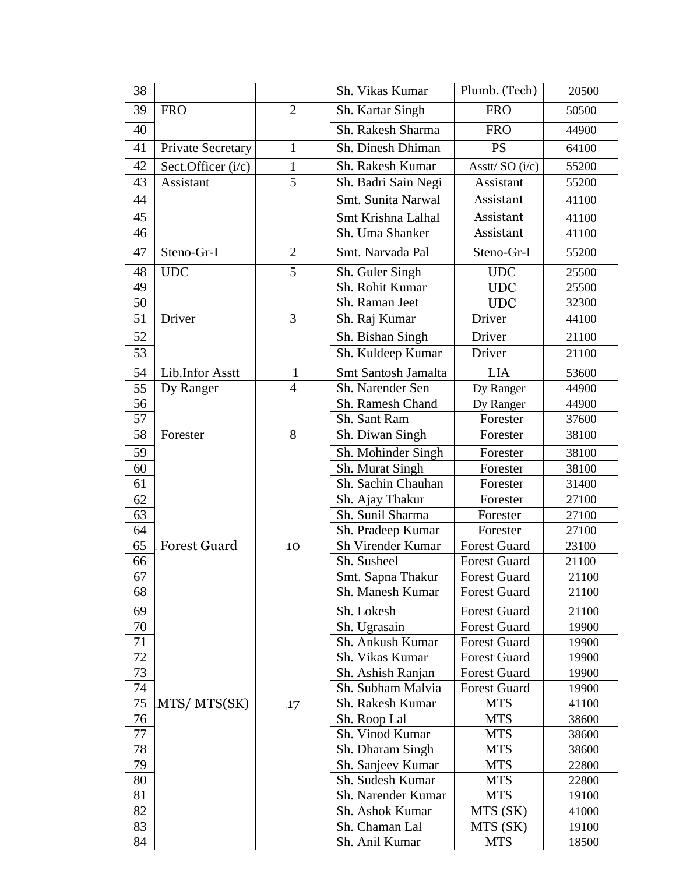| 38       |                     |                | Plumb. (Tech)<br>Sh. Vikas Kumar       |                          | 20500          |
|----------|---------------------|----------------|----------------------------------------|--------------------------|----------------|
| 39       | <b>FRO</b>          | $\overline{2}$ | Sh. Kartar Singh                       | <b>FRO</b>               | 50500          |
| 40       |                     |                | Sh. Rakesh Sharma                      | <b>FRO</b>               | 44900          |
| 41       | Private Secretary   | $\mathbf{1}$   | Sh. Dinesh Dhiman                      | <b>PS</b>                | 64100          |
| 42       | Sect.Officer (i/c)  | $\mathbf{1}$   | Sh. Rakesh Kumar                       | Asstt/SO (i/c)           | 55200          |
| 43       | Assistant           | $\overline{5}$ | Sh. Badri Sain Negi                    | Assistant                | 55200          |
| 44       |                     |                | Smt. Sunita Narwal                     | Assistant                | 41100          |
| 45       |                     |                | Smt Krishna Lalhal                     | Assistant                | 41100          |
| 46       |                     |                | Sh. Uma Shanker                        | Assistant                | 41100          |
| 47       | Steno-Gr-I          | $\overline{2}$ | Smt. Narvada Pal                       | Steno-Gr-I               | 55200          |
| 48       | <b>UDC</b>          | 5              | Sh. Guler Singh                        | <b>UDC</b>               | 25500          |
| 49       |                     |                | Sh. Rohit Kumar                        | <b>UDC</b>               | 25500          |
| 50       |                     |                | Sh. Raman Jeet                         | <b>UDC</b>               | 32300          |
| 51       | Driver              | 3              | Sh. Raj Kumar                          | Driver                   | 44100          |
| 52       |                     |                | Sh. Bishan Singh                       | <b>Driver</b>            | 21100          |
| 53       |                     |                | Sh. Kuldeep Kumar                      | Driver                   | 21100          |
| 54       | Lib.Infor Asstt     | 1              | Smt Santosh Jamalta                    | <b>LIA</b>               | 53600          |
| 55       | Dy Ranger           | $\overline{4}$ | Sh. Narender Sen                       | Dy Ranger                | 44900          |
| 56       |                     |                | Sh. Ramesh Chand                       | Dy Ranger                | 44900          |
| 57       |                     |                | Sh. Sant Ram                           | Forester                 | 37600          |
| 58       | Forester            | 8              | Sh. Diwan Singh                        | Forester                 | 38100          |
| 59       |                     |                | Sh. Mohinder Singh                     | Forester                 | 38100          |
| 60       |                     |                | Sh. Murat Singh                        | Forester                 | 38100          |
| 61       |                     |                | Sh. Sachin Chauhan                     | Forester                 | 31400          |
| 62       |                     |                | Sh. Ajay Thakur                        | Forester                 | 27100          |
| 63       |                     |                | Sh. Sunil Sharma                       | Forester                 | 27100          |
| 64       |                     |                | Sh. Pradeep Kumar                      | Forester                 | 27100          |
| 65       | <b>Forest Guard</b> | 10             | Sh Virender Kumar                      | <b>Forest Guard</b>      | 23100          |
| 66       |                     |                | Sh. Susheel                            | <b>Forest Guard</b>      | 21100          |
| 67       |                     |                | Smt. Sapna Thakur                      | <b>Forest Guard</b>      | 21100          |
| 68       |                     |                | Sh. Manesh Kumar                       | <b>Forest Guard</b>      | 21100          |
| 69       |                     |                | Sh. Lokesh                             | <b>Forest Guard</b>      | 21100          |
| 70       |                     |                | Sh. Ugrasain                           | <b>Forest Guard</b>      | 19900          |
| 71       |                     |                | Sh. Ankush Kumar                       | <b>Forest Guard</b>      | 19900          |
| 72       |                     |                | Sh. Vikas Kumar                        | <b>Forest Guard</b>      | 19900          |
| 73       |                     |                | Sh. Ashish Ranjan                      | <b>Forest Guard</b>      | 19900          |
| 74       |                     |                | Sh. Subham Malvia                      | <b>Forest Guard</b>      | 19900          |
| 75       | MTS/MTS(SK)         | .17            | Sh. Rakesh Kumar                       | <b>MTS</b>               | 41100          |
| 76       |                     |                | Sh. Roop Lal                           | <b>MTS</b>               | 38600          |
| 77       |                     |                | Sh. Vinod Kumar                        | <b>MTS</b>               | 38600          |
| 78       |                     |                | Sh. Dharam Singh                       | <b>MTS</b>               | 38600          |
| 79       |                     |                | Sh. Sanjeev Kumar                      | <b>MTS</b><br><b>MTS</b> | 22800          |
| 80<br>81 |                     |                | Sh. Sudesh Kumar<br>Sh. Narender Kumar | <b>MTS</b>               | 22800<br>19100 |
| 82       |                     |                | Sh. Ashok Kumar                        | MTS (SK)                 | 41000          |
| 83       |                     |                | Sh. Chaman Lal                         | MTS (SK)                 | 19100          |
| 84       |                     |                | Sh. Anil Kumar                         | <b>MTS</b>               | 18500          |
|          |                     |                |                                        |                          |                |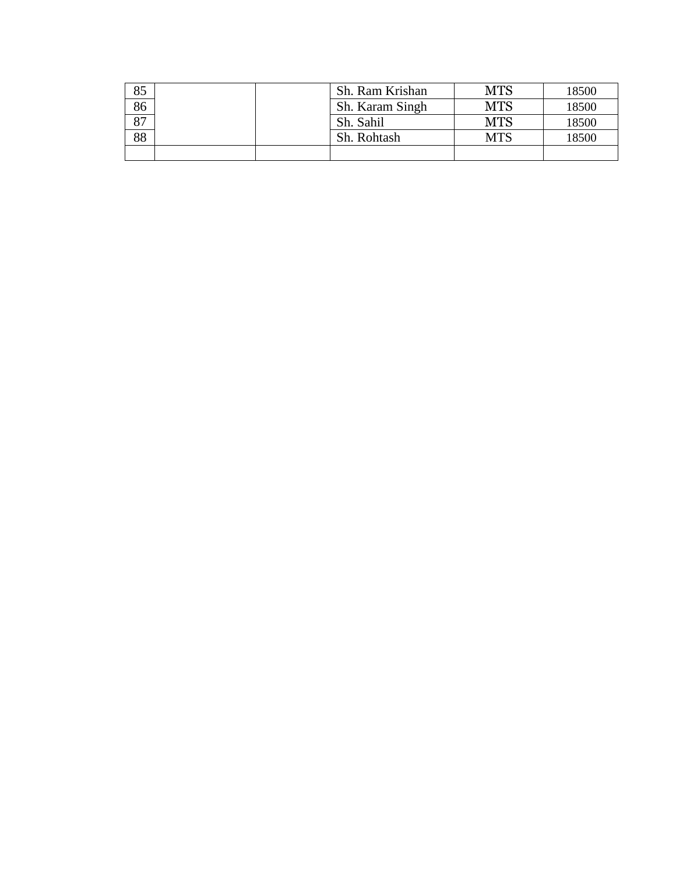| 85              |  | Sh. Ram Krishan | <b>MTS</b> | 18500 |
|-----------------|--|-----------------|------------|-------|
| $\frac{86}{87}$ |  | Sh. Karam Singh | <b>MTS</b> | 18500 |
|                 |  | Sh. Sahil       | MTS        | 18500 |
| 88              |  | Sh. Rohtash     | MTS        | 18500 |
|                 |  |                 |            |       |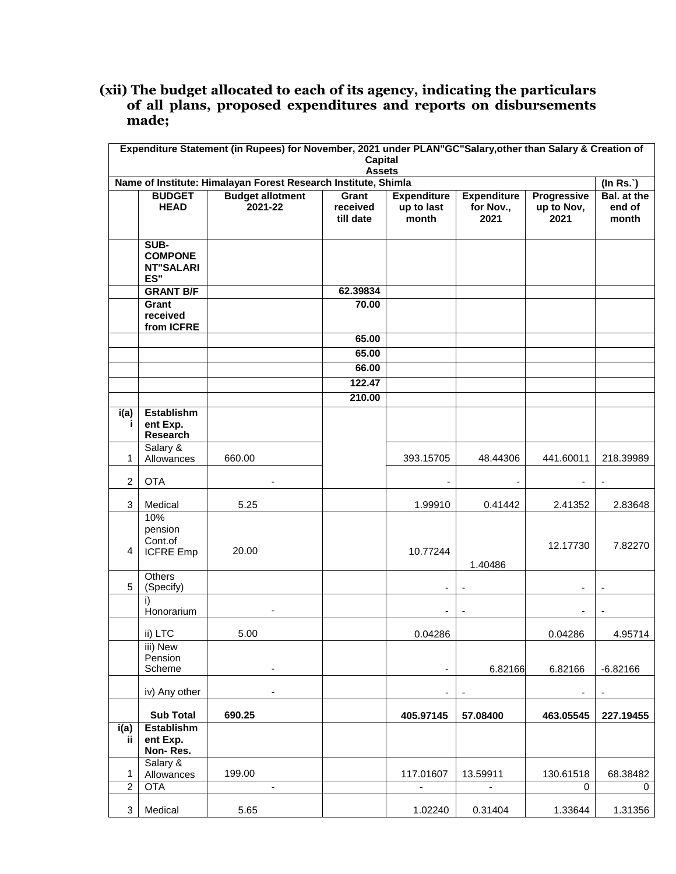#### **(xii) The budget allocated to each of its agency, indicating the particulars of all plans, proposed expenditures and reports on disbursements made;**

|                  | Expenditure Statement (in Rupees) for November, 2021 under PLAN"GC"Salary, other than Salary & Creation of<br><b>Capital</b><br><b>Assets</b> |                                    |                                |                                           |                                         |                                   |                                |  |  |  |  |
|------------------|-----------------------------------------------------------------------------------------------------------------------------------------------|------------------------------------|--------------------------------|-------------------------------------------|-----------------------------------------|-----------------------------------|--------------------------------|--|--|--|--|
|                  | Name of Institute: Himalayan Forest Research Institute, Shimla<br>$($ In Rs. $)$                                                              |                                    |                                |                                           |                                         |                                   |                                |  |  |  |  |
|                  | <b>BUDGET</b><br><b>HEAD</b>                                                                                                                  | <b>Budget allotment</b><br>2021-22 | Grant<br>received<br>till date | <b>Expenditure</b><br>up to last<br>month | <b>Expenditure</b><br>for Nov.,<br>2021 | Progressive<br>up to Nov,<br>2021 | Bal. at the<br>end of<br>month |  |  |  |  |
|                  | SUB-<br><b>COMPONE</b><br><b>NT"SALARI</b><br>ES"                                                                                             |                                    |                                |                                           |                                         |                                   |                                |  |  |  |  |
|                  | <b>GRANT B/F</b>                                                                                                                              |                                    | 62.39834                       |                                           |                                         |                                   |                                |  |  |  |  |
|                  | Grant<br>received<br>from ICFRE                                                                                                               |                                    | 70.00                          |                                           |                                         |                                   |                                |  |  |  |  |
|                  |                                                                                                                                               |                                    | 65.00                          |                                           |                                         |                                   |                                |  |  |  |  |
|                  |                                                                                                                                               |                                    | 65.00                          |                                           |                                         |                                   |                                |  |  |  |  |
|                  |                                                                                                                                               |                                    | 66.00                          |                                           |                                         |                                   |                                |  |  |  |  |
|                  |                                                                                                                                               |                                    | 122.47                         |                                           |                                         |                                   |                                |  |  |  |  |
|                  |                                                                                                                                               |                                    | 210.00                         |                                           |                                         |                                   |                                |  |  |  |  |
| i(a)<br>Ť.       | <b>Establishm</b><br>ent Exp.<br>Research                                                                                                     |                                    |                                |                                           |                                         |                                   |                                |  |  |  |  |
| 1                | Salary &<br>Allowances                                                                                                                        | 660.00                             |                                | 393.15705                                 | 48.44306                                | 441.60011                         | 218.39989                      |  |  |  |  |
| $\overline{2}$   | <b>OTA</b>                                                                                                                                    |                                    |                                |                                           |                                         | $\overline{\phantom{a}}$          |                                |  |  |  |  |
| 3                | Medical                                                                                                                                       | 5.25                               |                                | 1.99910                                   | 0.41442                                 | 2.41352                           | 2.83648                        |  |  |  |  |
| 4                | 10%<br>pension<br>Cont.of<br><b>ICFRE Emp</b>                                                                                                 | 20.00                              |                                | 10.77244                                  | 1.40486                                 | 12.17730                          | 7.82270                        |  |  |  |  |
| 5                | <b>Others</b><br>(Specify)                                                                                                                    |                                    |                                | ÷                                         |                                         |                                   |                                |  |  |  |  |
|                  | i)<br>Honorarium                                                                                                                              |                                    |                                |                                           |                                         |                                   |                                |  |  |  |  |
|                  | ii) LTC                                                                                                                                       | 5.00                               |                                | 0.04286                                   |                                         | 0.04286                           | 4.95714                        |  |  |  |  |
|                  | iii) New<br>Pension<br>Scheme                                                                                                                 | $\qquad \qquad \blacksquare$       |                                | $\blacksquare$                            | 6.82166                                 | 6.82166                           | $-6.82166$                     |  |  |  |  |
|                  | iv) Any other                                                                                                                                 | $\overline{\phantom{a}}$           |                                | $\overline{\phantom{a}}$                  |                                         | -                                 |                                |  |  |  |  |
|                  | <b>Sub Total</b>                                                                                                                              | 690.25                             |                                | 405.97145                                 | 57.08400                                | 463.05545                         | 227.19455                      |  |  |  |  |
| i(a)<br>ij.      | <b>Establishm</b><br>ent Exp.<br>Non-Res.                                                                                                     |                                    |                                |                                           |                                         |                                   |                                |  |  |  |  |
| 1                | Salary &<br>Allowances                                                                                                                        | 199.00                             |                                | 117.01607                                 | 13.59911                                | 130.61518                         | 68.38482                       |  |  |  |  |
| $\boldsymbol{2}$ | <b>OTA</b>                                                                                                                                    | $\qquad \qquad \blacksquare$       |                                | $\overline{\phantom{a}}$                  | $\overline{\phantom{a}}$                | 0                                 | 0                              |  |  |  |  |
| 3                | Medical                                                                                                                                       | 5.65                               |                                | 1.02240                                   | 0.31404                                 | 1.33644                           | 1.31356                        |  |  |  |  |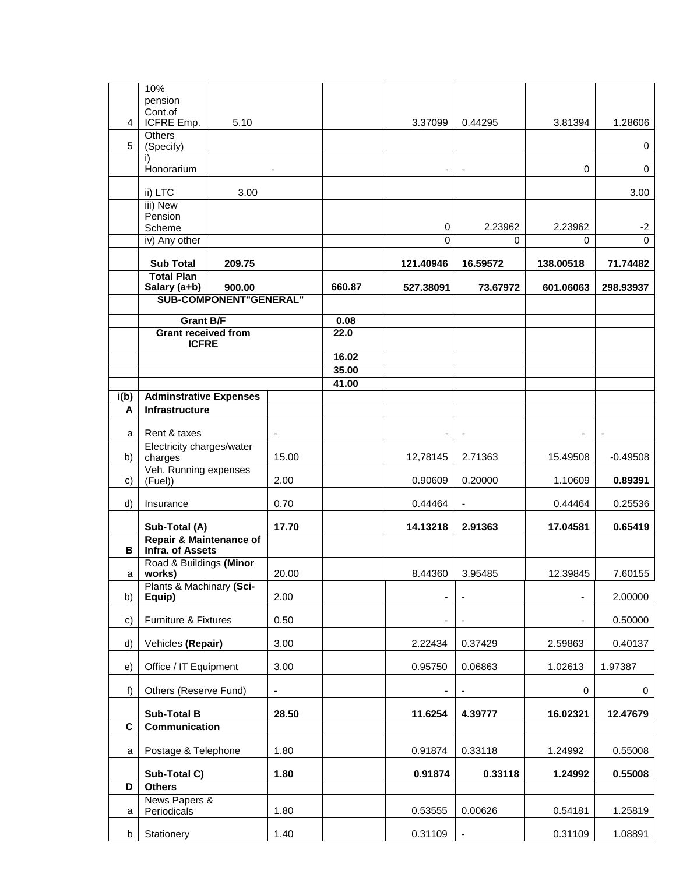|                | 10%<br>pension                                          |        |                          |                |                          |                          |                     |                     |
|----------------|---------------------------------------------------------|--------|--------------------------|----------------|--------------------------|--------------------------|---------------------|---------------------|
| $\overline{4}$ | Cont.of<br>ICFRE Emp.                                   | 5.10   |                          |                | 3.37099                  | 0.44295                  | 3.81394             | 1.28606             |
| 5              | Others<br>(Specify)                                     |        |                          |                |                          |                          |                     | 0                   |
|                | i)<br>Honorarium                                        |        |                          |                | $\overline{\phantom{a}}$ | $\overline{\phantom{a}}$ | $\mathbf 0$         | 0                   |
|                | ii) LTC                                                 | 3.00   |                          |                |                          |                          |                     | 3.00                |
|                | iii) New<br>Pension                                     |        |                          |                |                          |                          |                     |                     |
|                | Scheme<br>iv) Any other                                 |        |                          |                | 0<br>$\Omega$            | 2.23962<br>0             | 2.23962<br>$\Omega$ | $-2$<br>$\mathbf 0$ |
|                | <b>Sub Total</b>                                        | 209.75 |                          |                | 121.40946                | 16.59572                 | 138.00518           | 71.74482            |
|                | <b>Total Plan</b>                                       |        |                          | 660.87         | 527.38091                | 73.67972                 |                     |                     |
|                | Salary (a+b)<br>900.00<br><b>SUB-COMPONENT"GENERAL"</b> |        |                          |                |                          |                          | 601.06063           | 298.93937           |
|                | Grant B/F                                               |        |                          | 0.08           |                          |                          |                     |                     |
|                | <b>Grant received from</b><br><b>ICFRE</b>              |        |                          | 22.0           |                          |                          |                     |                     |
|                |                                                         |        |                          | 16.02          |                          |                          |                     |                     |
|                |                                                         |        |                          | 35.00<br>41.00 |                          |                          |                     |                     |
| i(b)           | <b>Adminstrative Expenses</b>                           |        |                          |                |                          |                          |                     |                     |
| A              | Infrastructure                                          |        |                          |                |                          |                          |                     |                     |
| a              | Rent & taxes                                            |        | $\overline{\phantom{a}}$ |                | $\blacksquare$           |                          |                     |                     |
| b)             | Electricity charges/water<br>charges                    |        | 15.00                    |                | 12,78145                 | 2.71363                  | 15.49508            | $-0.49508$          |
| C)             | Veh. Running expenses<br>(Fuel)                         |        | 2.00                     |                | 0.90609                  | 0.20000                  | 1.10609             | 0.89391             |
| d)             | Insurance                                               |        | 0.70                     |                | 0.44464                  | $\overline{\phantom{a}}$ | 0.44464             | 0.25536             |
|                | Sub-Total (A)                                           |        | 17.70                    |                | 14.13218                 | 2.91363                  | 17.04581            | 0.65419             |
| В              | <b>Repair &amp; Maintenance of</b><br>Infra. of Assets  |        |                          |                |                          |                          |                     |                     |
| a              | Road & Buildings (Minor<br>works)                       |        | 20.00                    |                | 8.44360                  | 3.95485                  | 12.39845            | 7.60155             |
| b)             | Plants & Machinary (Sci-<br>Equip)                      |        | 2.00                     |                |                          |                          |                     | 2.00000             |
| c)             | Furniture & Fixtures                                    |        | 0.50                     |                | ٠                        | $\overline{\phantom{a}}$ |                     | 0.50000             |
| d)             | Vehicles (Repair)                                       |        | 3.00                     |                | 2.22434                  | 0.37429                  | 2.59863             | 0.40137             |
| e)             | Office / IT Equipment                                   |        | 3.00                     |                | 0.95750                  | 0.06863                  | 1.02613             | 1.97387             |
| $f$ )          | Others (Reserve Fund)                                   |        | $\overline{\phantom{m}}$ |                |                          |                          | 0                   | 0                   |
|                | <b>Sub-Total B</b>                                      |        | 28.50                    |                | 11.6254                  | 4.39777                  | 16.02321            | 12.47679            |
| C              | Communication                                           |        |                          |                |                          |                          |                     |                     |
| a              | Postage & Telephone                                     |        | 1.80                     |                | 0.91874                  | 0.33118                  | 1.24992             | 0.55008             |
|                | Sub-Total C)                                            |        | 1.80                     |                | 0.91874                  | 0.33118                  | 1.24992             | 0.55008             |
| D              | <b>Others</b><br>News Papers &                          |        |                          |                |                          |                          |                     |                     |
| a              | Periodicals                                             |        | 1.80                     |                | 0.53555                  | 0.00626                  | 0.54181             | 1.25819             |
| b              | Stationery                                              |        | 1.40                     |                | 0.31109                  | $\blacksquare$           | 0.31109             | 1.08891             |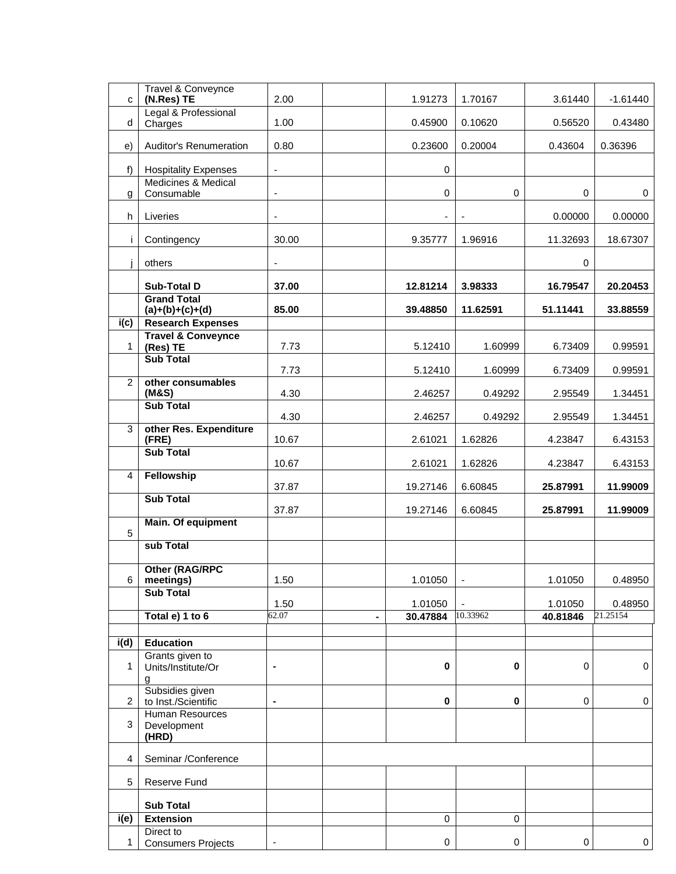| C                  | <b>Travel &amp; Conveynce</b><br>(N.Res) TE   | 2.00                     |                | 1.91273   | 1.70167                  | 3.61440     | $-1.61440$     |
|--------------------|-----------------------------------------------|--------------------------|----------------|-----------|--------------------------|-------------|----------------|
| d                  | Legal & Professional<br>Charges               | 1.00                     |                | 0.45900   | 0.10620                  | 0.56520     | 0.43480        |
| e)                 | Auditor's Renumeration                        | 0.80                     |                | 0.23600   | 0.20004                  | 0.43604     | 0.36396        |
| f)                 | <b>Hospitality Expenses</b>                   | ä,                       |                | $\pmb{0}$ |                          |             |                |
| g                  | Medicines & Medical<br>Consumable             | ä,                       |                | $\pmb{0}$ | $\mathbf 0$              | $\mathbf 0$ | 0              |
| h                  | Liveries                                      | $\overline{\phantom{a}}$ |                | ٠         |                          | 0.00000     | 0.00000        |
| i.                 | Contingency                                   | 30.00                    |                | 9.35777   | 1.96916                  | 11.32693    | 18.67307       |
| Ť                  | others                                        | ÷,                       |                |           |                          | $\mathbf 0$ |                |
|                    | Sub-Total D                                   | 37.00                    |                | 12.81214  | 3.98333                  | 16.79547    | 20.20453       |
|                    | <b>Grand Total</b><br>$(a)+(b)+(c)+(d)$       | 85.00                    |                | 39.48850  | 11.62591                 | 51.11441    | 33.88559       |
| i(c)               | <b>Research Expenses</b>                      |                          |                |           |                          |             |                |
|                    | <b>Travel &amp; Conveynce</b>                 |                          |                |           |                          |             |                |
| $\mathbf{1}$       | (Res) TE<br><b>Sub Total</b>                  | 7.73                     |                | 5.12410   | 1.60999                  | 6.73409     | 0.99591        |
|                    |                                               | 7.73                     |                | 5.12410   | 1.60999                  | 6.73409     | 0.99591        |
| 2                  | other consumables<br>(M&S)                    | 4.30                     |                | 2.46257   | 0.49292                  | 2.95549     | 1.34451        |
|                    | <b>Sub Total</b>                              | 4.30                     |                | 2.46257   | 0.49292                  | 2.95549     | 1.34451        |
| 3                  | other Res. Expenditure<br>(FRE)               | 10.67                    |                | 2.61021   | 1.62826                  | 4.23847     | 6.43153        |
|                    | <b>Sub Total</b>                              | 10.67                    |                | 2.61021   | 1.62826                  | 4.23847     | 6.43153        |
| 4                  | Fellowship                                    | 37.87                    |                | 19.27146  | 6.60845                  | 25.87991    | 11.99009       |
|                    | <b>Sub Total</b>                              | 37.87                    |                | 19.27146  | 6.60845                  | 25.87991    | 11.99009       |
| 5                  | Main. Of equipment                            |                          |                |           |                          |             |                |
|                    | sub Total                                     |                          |                |           |                          |             |                |
| 6                  | Other (RAG/RPC<br>meetings)                   | 1.50                     |                | 1.01050   | $\overline{\phantom{a}}$ | 1.01050     | 0.48950        |
|                    | <b>Sub Total</b>                              |                          |                |           |                          |             |                |
|                    |                                               | 1.50                     |                | 1.01050   |                          | 1.01050     | 0.48950        |
|                    | Total e) 1 to 6                               | 62.07                    | $\blacksquare$ | 30.47884  | 10.33962                 | 40.81846    | 21.25154       |
| i(d)               | <b>Education</b>                              |                          |                |           |                          |             |                |
| 1                  | Grants given to<br>Units/Institute/Or         | $\blacksquare$           |                | $\pmb{0}$ | $\bf{0}$                 | 0           | $\mathbf 0$    |
|                    | a<br>Subsidies given                          |                          |                |           |                          |             |                |
| $\overline{2}$     | to Inst./Scientific<br><b>Human Resources</b> | $\blacksquare$           |                | $\pmb{0}$ | $\bf{0}$                 | 0           | $\pmb{0}$      |
| 3                  | Development<br>(HRD)                          |                          |                |           |                          |             |                |
| $\overline{4}$     | Seminar /Conference                           |                          |                |           |                          |             |                |
| 5                  | Reserve Fund                                  |                          |                |           |                          |             |                |
|                    | <b>Sub Total</b>                              |                          |                |           |                          |             |                |
| $\overline{i}$ (e) | <b>Extension</b>                              |                          |                | 0         | 0                        |             |                |
| 1                  | Direct to<br><b>Consumers Projects</b>        |                          |                | 0         | $\pmb{0}$                | $\pmb{0}$   | $\overline{0}$ |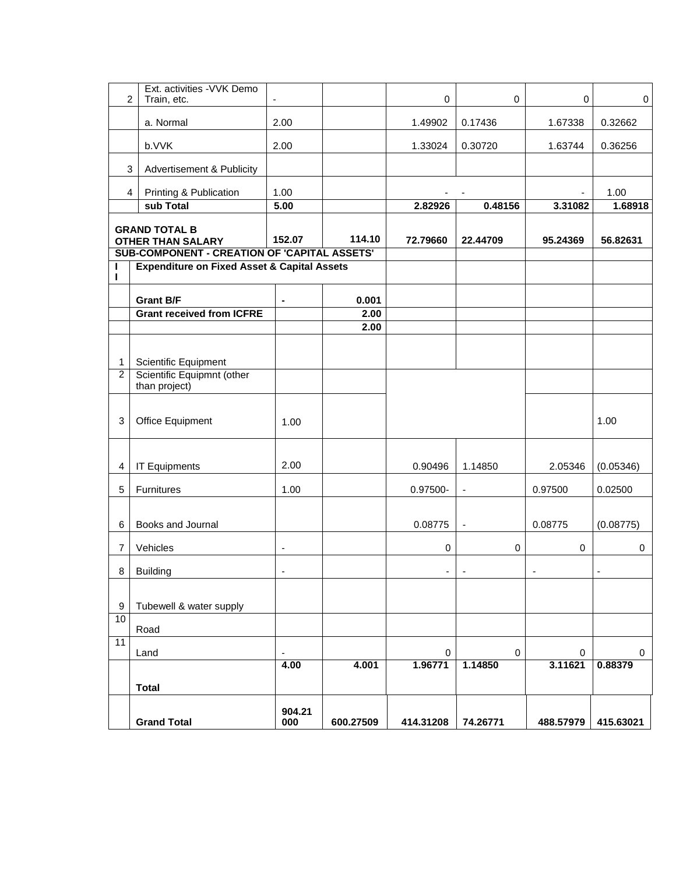| $\overline{c}$                                                                                   | Ext. activities - VVK Demo<br>Train, etc.              |                   |           | $\pmb{0}$ | $\mathbf 0$ | $\mathbf 0$ | $\mathbf 0$ |
|--------------------------------------------------------------------------------------------------|--------------------------------------------------------|-------------------|-----------|-----------|-------------|-------------|-------------|
|                                                                                                  | a. Normal                                              | 2.00              |           | 1.49902   | 0.17436     | 1.67338     | 0.32662     |
|                                                                                                  | b.VVK                                                  | 2.00              |           | 1.33024   | 0.30720     | 1.63744     | 0.36256     |
| 3                                                                                                | Advertisement & Publicity                              |                   |           |           |             |             |             |
| 4                                                                                                | Printing & Publication                                 | 1.00              |           |           |             |             | 1.00        |
|                                                                                                  | sub Total                                              | $\overline{5.00}$ |           | 2.82926   | 0.48156     | 3.31082     | 1.68918     |
| <b>GRAND TOTAL B</b><br><b>OTHER THAN SALARY</b><br>SUB-COMPONENT - CREATION OF 'CAPITAL ASSETS' |                                                        | 152.07            | 114.10    | 72.79660  | 22.44709    | 95.24369    | 56.82631    |
| I                                                                                                | <b>Expenditure on Fixed Asset &amp; Capital Assets</b> |                   |           |           |             |             |             |
| ı                                                                                                |                                                        |                   |           |           |             |             |             |
|                                                                                                  | <b>Grant B/F</b>                                       | $\blacksquare$    | 0.001     |           |             |             |             |
|                                                                                                  | <b>Grant received from ICFRE</b>                       |                   | 2.00      |           |             |             |             |
|                                                                                                  |                                                        |                   | 2.00      |           |             |             |             |
|                                                                                                  |                                                        |                   |           |           |             |             |             |
| $\mathbf{1}$                                                                                     | Scientific Equipment                                   |                   |           |           |             |             |             |
| $\overline{2}$                                                                                   | Scientific Equipmnt (other<br>than project)            |                   |           |           |             |             |             |
| $\sqrt{3}$                                                                                       | Office Equipment                                       | 1.00              |           |           |             |             | 1.00        |
| 4                                                                                                | <b>IT Equipments</b>                                   | 2.00              |           | 0.90496   | 1.14850     | 2.05346     | (0.05346)   |
| 5                                                                                                | Furnitures                                             | 1.00              |           | 0.97500-  |             | 0.97500     | 0.02500     |
|                                                                                                  |                                                        |                   |           |           |             |             |             |
| 6                                                                                                | Books and Journal                                      |                   |           | 0.08775   |             | 0.08775     | (0.08775)   |
| $\overline{7}$                                                                                   | Vehicles                                               | $\blacksquare$    |           | 0         | 0           | 0           | $\pmb{0}$   |
| 8                                                                                                | <b>Building</b>                                        |                   |           | ۰         |             |             |             |
|                                                                                                  |                                                        |                   |           |           |             |             |             |
| 9                                                                                                | Tubewell & water supply                                |                   |           |           |             |             |             |
| 10                                                                                               |                                                        |                   |           |           |             |             |             |
| $\overline{11}$                                                                                  | Road                                                   |                   |           |           |             |             |             |
|                                                                                                  | Land                                                   |                   |           | 0         | 0           | 0           | 0           |
|                                                                                                  |                                                        | 4.00              | 4.001     | 1.96771   | 1.14850     | 3.11621     | 0.88379     |
|                                                                                                  | <b>Total</b>                                           |                   |           |           |             |             |             |
|                                                                                                  | <b>Grand Total</b>                                     | 904.21<br>000     | 600.27509 | 414.31208 | 74.26771    | 488.57979   | 415.63021   |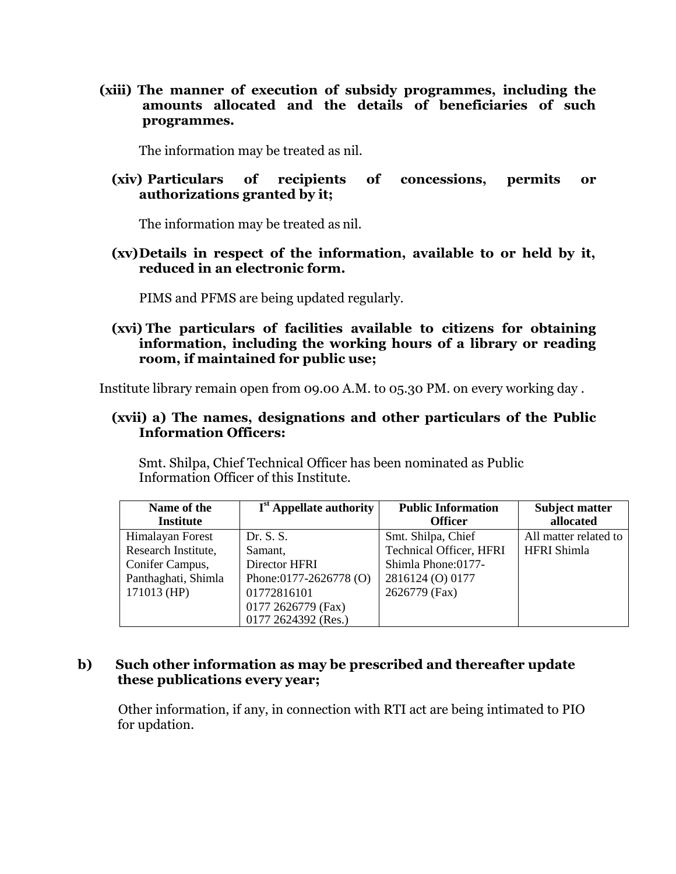**(xiii) The manner of execution of subsidy programmes, including the amounts allocated and the details of beneficiaries of such programmes.**

The information may be treated as nil.

#### **(xiv) Particulars of recipients of concessions, permits or authorizations granted by it;**

The information may be treated as nil.

#### **(xv)Details in respect of the information, available to or held by it, reduced in an electronic form.**

PIMS and PFMS are being updated regularly.

#### **(xvi) The particulars of facilities available to citizens for obtaining information, including the working hours of a library or reading room, if maintained for public use;**

Institute library remain open from 09.00 A.M. to 05.30 PM. on every working day .

#### **(xvii) a) The names, designations and other particulars of the Public Information Officers:**

Smt. Shilpa, Chief Technical Officer has been nominated as Public Information Officer of this Institute.

| Name of the         | $Ist$ Appellate authority | <b>Public Information</b>      | <b>Subject matter</b> |  |
|---------------------|---------------------------|--------------------------------|-----------------------|--|
| <b>Institute</b>    |                           | <b>Officer</b>                 | allocated             |  |
| Himalayan Forest    | Dr. S. S.                 | Smt. Shilpa, Chief             | All matter related to |  |
| Research Institute, | Samant,                   | <b>Technical Officer, HFRI</b> | <b>HFRI</b> Shimla    |  |
| Conifer Campus,     | Director HFRI             | Shimla Phone: 0177-            |                       |  |
| Panthaghati, Shimla | Phone:0177-2626778 (O)    | 2816124 (O) 0177               |                       |  |
| 171013 (HP)         | 01772816101               | 2626779 (Fax)                  |                       |  |
|                     | 0177 2626779 (Fax)        |                                |                       |  |
|                     | 0177 2624392 (Res.)       |                                |                       |  |

#### **b) Such other information as may be prescribed and thereafter update these publications every year;**

 Other information, if any, in connection with RTI act are being intimated to PIO for updation.